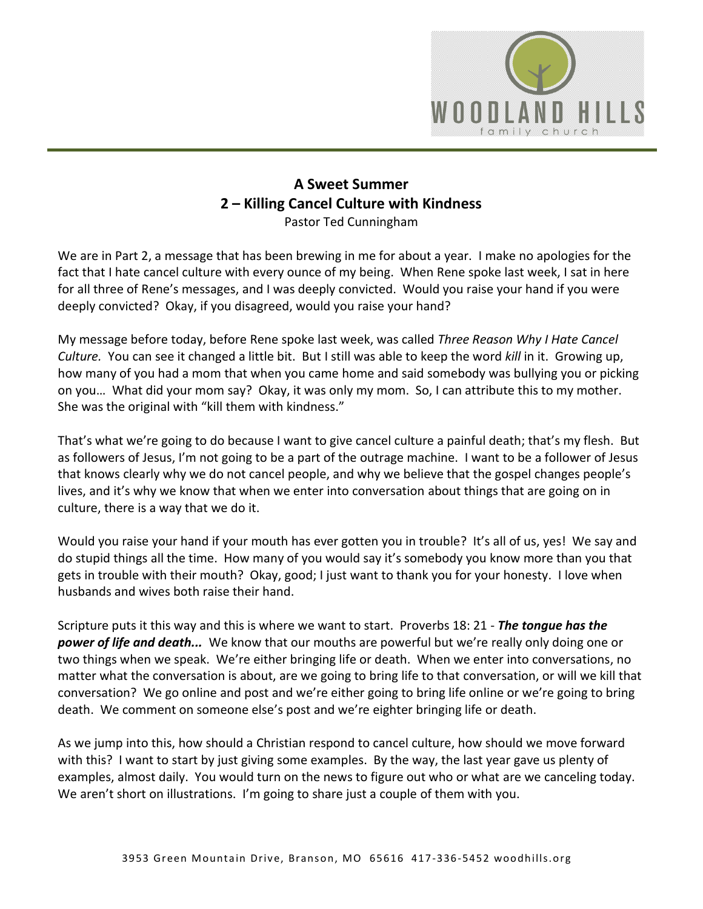

## **A Sweet Summer 2 – Killing Cancel Culture with Kindness** Pastor Ted Cunningham

We are in Part 2, a message that has been brewing in me for about a year. I make no apologies for the fact that I hate cancel culture with every ounce of my being. When Rene spoke last week, I sat in here for all three of Rene's messages, and I was deeply convicted. Would you raise your hand if you were deeply convicted? Okay, if you disagreed, would you raise your hand?

My message before today, before Rene spoke last week, was called *Three Reason Why I Hate Cancel Culture.* You can see it changed a little bit. But I still was able to keep the word *kill* in it. Growing up, how many of you had a mom that when you came home and said somebody was bullying you or picking on you… What did your mom say? Okay, it was only my mom. So, I can attribute this to my mother. She was the original with "kill them with kindness."

That's what we're going to do because I want to give cancel culture a painful death; that's my flesh. But as followers of Jesus, I'm not going to be a part of the outrage machine. I want to be a follower of Jesus that knows clearly why we do not cancel people, and why we believe that the gospel changes people's lives, and it's why we know that when we enter into conversation about things that are going on in culture, there is a way that we do it.

Would you raise your hand if your mouth has ever gotten you in trouble? It's all of us, yes! We say and do stupid things all the time. How many of you would say it's somebody you know more than you that gets in trouble with their mouth? Okay, good; I just want to thank you for your honesty. I love when husbands and wives both raise their hand.

Scripture puts it this way and this is where we want to start. Proverbs 18: 21 - *The tongue has the power of life and death...* We know that our mouths are powerful but we're really only doing one or two things when we speak. We're either bringing life or death. When we enter into conversations, no matter what the conversation is about, are we going to bring life to that conversation, or will we kill that conversation? We go online and post and we're either going to bring life online or we're going to bring death. We comment on someone else's post and we're eighter bringing life or death.

As we jump into this, how should a Christian respond to cancel culture, how should we move forward with this? I want to start by just giving some examples. By the way, the last year gave us plenty of examples, almost daily. You would turn on the news to figure out who or what are we canceling today. We aren't short on illustrations. I'm going to share just a couple of them with you.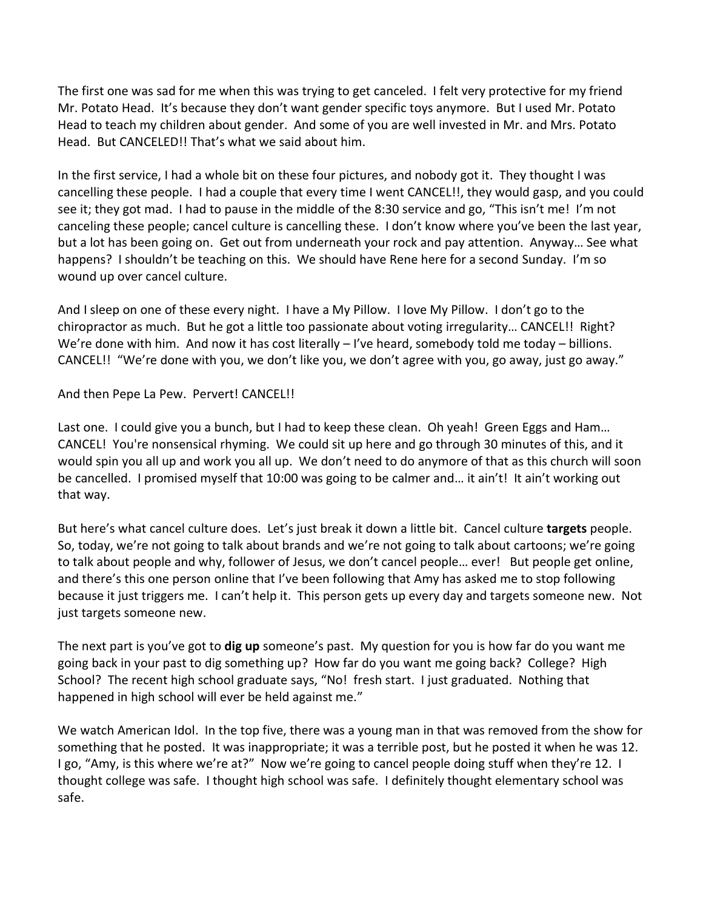The first one was sad for me when this was trying to get canceled. I felt very protective for my friend Mr. Potato Head. It's because they don't want gender specific toys anymore. But I used Mr. Potato Head to teach my children about gender. And some of you are well invested in Mr. and Mrs. Potato Head. But CANCELED!! That's what we said about him.

In the first service, I had a whole bit on these four pictures, and nobody got it. They thought I was cancelling these people. I had a couple that every time I went CANCEL!!, they would gasp, and you could see it; they got mad. I had to pause in the middle of the 8:30 service and go, "This isn't me! I'm not canceling these people; cancel culture is cancelling these. I don't know where you've been the last year, but a lot has been going on. Get out from underneath your rock and pay attention. Anyway… See what happens? I shouldn't be teaching on this. We should have Rene here for a second Sunday. I'm so wound up over cancel culture.

And I sleep on one of these every night. I have a My Pillow. I love My Pillow. I don't go to the chiropractor as much. But he got a little too passionate about voting irregularity… CANCEL!! Right? We're done with him. And now it has cost literally – I've heard, somebody told me today – billions. CANCEL!! "We're done with you, we don't like you, we don't agree with you, go away, just go away."

And then Pepe La Pew. Pervert! CANCEL!!

Last one. I could give you a bunch, but I had to keep these clean. Oh yeah! Green Eggs and Ham... CANCEL! You're nonsensical rhyming. We could sit up here and go through 30 minutes of this, and it would spin you all up and work you all up. We don't need to do anymore of that as this church will soon be cancelled. I promised myself that 10:00 was going to be calmer and... it ain't! It ain't working out that way.

But here's what cancel culture does. Let's just break it down a little bit. Cancel culture **targets** people. So, today, we're not going to talk about brands and we're not going to talk about cartoons; we're going to talk about people and why, follower of Jesus, we don't cancel people… ever! But people get online, and there's this one person online that I've been following that Amy has asked me to stop following because it just triggers me. I can't help it. This person gets up every day and targets someone new. Not just targets someone new.

The next part is you've got to **dig up** someone's past. My question for you is how far do you want me going back in your past to dig something up? How far do you want me going back? College? High School? The recent high school graduate says, "No! fresh start. I just graduated. Nothing that happened in high school will ever be held against me."

We watch American Idol. In the top five, there was a young man in that was removed from the show for something that he posted. It was inappropriate; it was a terrible post, but he posted it when he was 12. I go, "Amy, is this where we're at?" Now we're going to cancel people doing stuff when they're 12. I thought college was safe. I thought high school was safe. I definitely thought elementary school was safe.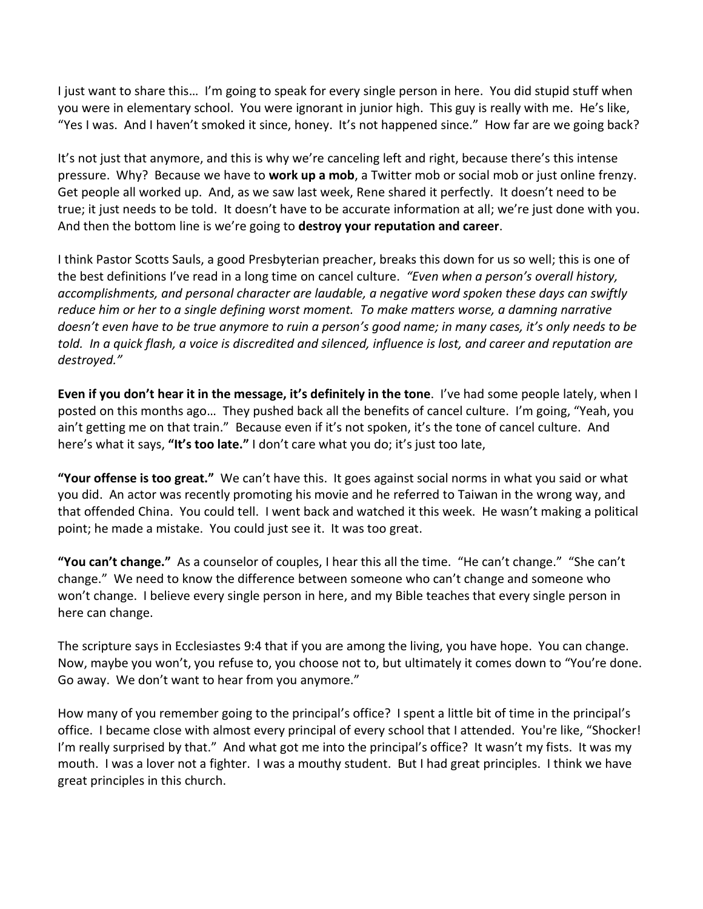I just want to share this… I'm going to speak for every single person in here. You did stupid stuff when you were in elementary school. You were ignorant in junior high. This guy is really with me. He's like, "Yes I was. And I haven't smoked it since, honey. It's not happened since." How far are we going back?

It's not just that anymore, and this is why we're canceling left and right, because there's this intense pressure. Why? Because we have to **work up a mob**, a Twitter mob or social mob or just online frenzy. Get people all worked up. And, as we saw last week, Rene shared it perfectly. It doesn't need to be true; it just needs to be told. It doesn't have to be accurate information at all; we're just done with you. And then the bottom line is we're going to **destroy your reputation and career**.

I think Pastor Scotts Sauls, a good Presbyterian preacher, breaks this down for us so well; this is one of the best definitions I've read in a long time on cancel culture. *"Even when a person's overall history, accomplishments, and personal character are laudable, a negative word spoken these days can swiftly reduce him or her to a single defining worst moment. To make matters worse, a damning narrative doesn't even have to be true anymore to ruin a person's good name; in many cases, it's only needs to be told. In a quick flash, a voice is discredited and silenced, influence is lost, and career and reputation are destroyed."* 

**Even if you don't hear it in the message, it's definitely in the tone**. I've had some people lately, when I posted on this months ago… They pushed back all the benefits of cancel culture. I'm going, "Yeah, you ain't getting me on that train." Because even if it's not spoken, it's the tone of cancel culture. And here's what it says, **"It's too late."** I don't care what you do; it's just too late,

**"Your offense is too great."** We can't have this. It goes against social norms in what you said or what you did. An actor was recently promoting his movie and he referred to Taiwan in the wrong way, and that offended China. You could tell. I went back and watched it this week. He wasn't making a political point; he made a mistake. You could just see it. It was too great.

**"You can't change."** As a counselor of couples, I hear this all the time. "He can't change." "She can't change." We need to know the difference between someone who can't change and someone who won't change. I believe every single person in here, and my Bible teaches that every single person in here can change.

The scripture says in Ecclesiastes 9:4 that if you are among the living, you have hope. You can change. Now, maybe you won't, you refuse to, you choose not to, but ultimately it comes down to "You're done. Go away. We don't want to hear from you anymore."

How many of you remember going to the principal's office? I spent a little bit of time in the principal's office. I became close with almost every principal of every school that I attended. You're like, "Shocker! I'm really surprised by that." And what got me into the principal's office? It wasn't my fists. It was my mouth. I was a lover not a fighter. I was a mouthy student. But I had great principles. I think we have great principles in this church.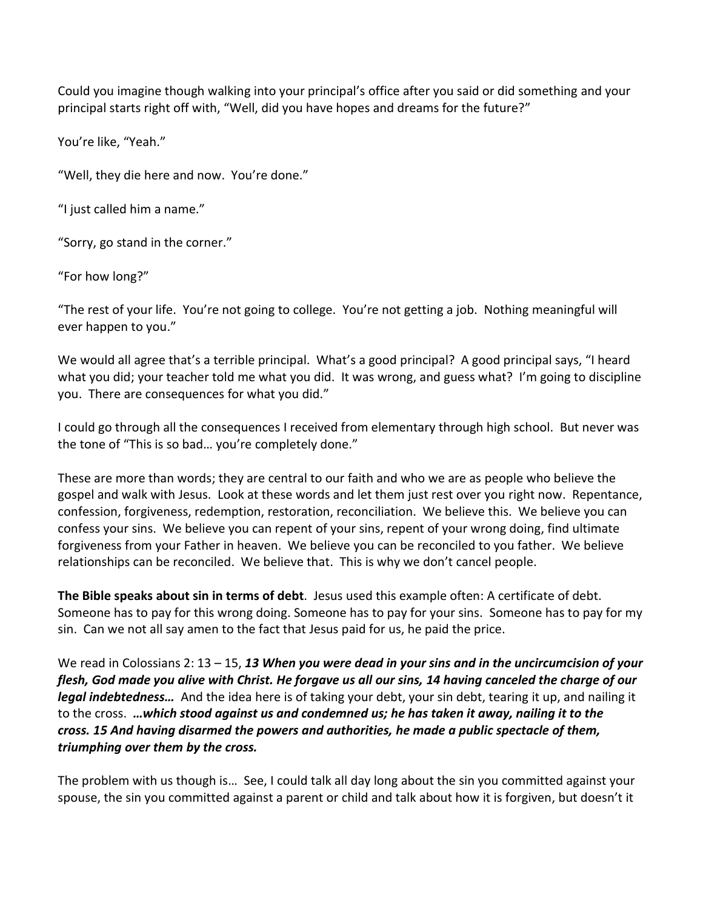Could you imagine though walking into your principal's office after you said or did something and your principal starts right off with, "Well, did you have hopes and dreams for the future?"

You're like, "Yeah."

"Well, they die here and now. You're done."

"I just called him a name."

"Sorry, go stand in the corner."

"For how long?"

"The rest of your life. You're not going to college. You're not getting a job. Nothing meaningful will ever happen to you."

We would all agree that's a terrible principal. What's a good principal? A good principal says, "I heard what you did; your teacher told me what you did. It was wrong, and guess what? I'm going to discipline you. There are consequences for what you did."

I could go through all the consequences I received from elementary through high school. But never was the tone of "This is so bad… you're completely done."

These are more than words; they are central to our faith and who we are as people who believe the gospel and walk with Jesus. Look at these words and let them just rest over you right now. Repentance, confession, forgiveness, redemption, restoration, reconciliation. We believe this. We believe you can confess your sins. We believe you can repent of your sins, repent of your wrong doing, find ultimate forgiveness from your Father in heaven. We believe you can be reconciled to you father. We believe relationships can be reconciled. We believe that. This is why we don't cancel people.

**The Bible speaks about sin in terms of debt**. Jesus used this example often: A certificate of debt. Someone has to pay for this wrong doing. Someone has to pay for your sins. Someone has to pay for my sin. Can we not all say amen to the fact that Jesus paid for us, he paid the price.

We read in Colossians 2: 13 – 15, *13 When you were dead in your sins and in the uncircumcision of your flesh, God made you alive with Christ. He forgave us all our sins, 14 having canceled the charge of our legal indebtedness…* And the idea here is of taking your debt, your sin debt, tearing it up, and nailing it to the cross. *…which stood against us and condemned us; he has taken it away, nailing it to the cross. 15 And having disarmed the powers and authorities, he made a public spectacle of them, triumphing over them by the cross.*

The problem with us though is… See, I could talk all day long about the sin you committed against your spouse, the sin you committed against a parent or child and talk about how it is forgiven, but doesn't it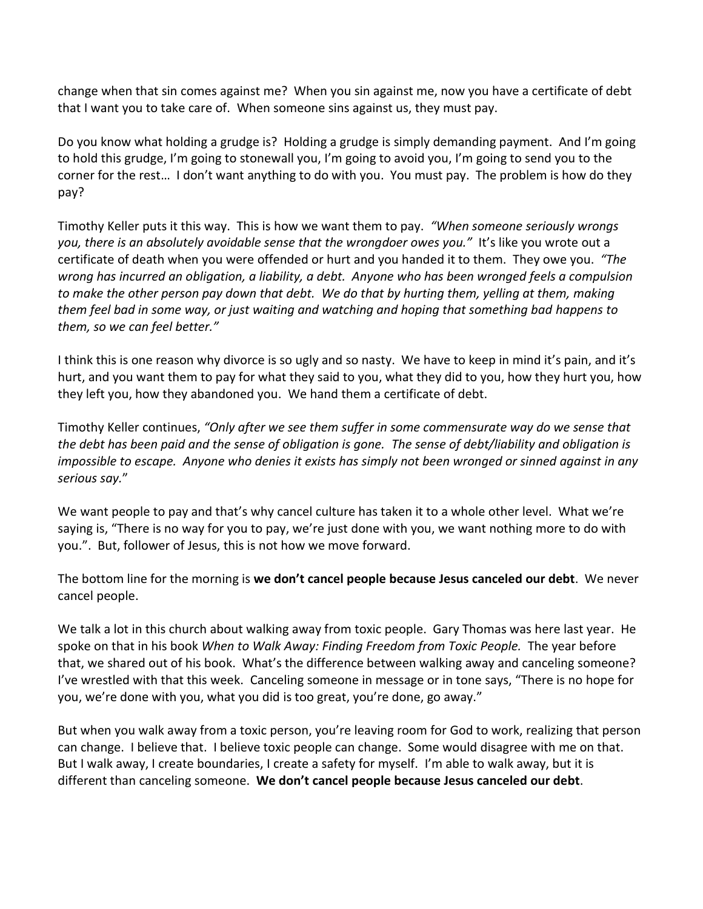change when that sin comes against me? When you sin against me, now you have a certificate of debt that I want you to take care of. When someone sins against us, they must pay.

Do you know what holding a grudge is? Holding a grudge is simply demanding payment. And I'm going to hold this grudge, I'm going to stonewall you, I'm going to avoid you, I'm going to send you to the corner for the rest… I don't want anything to do with you. You must pay. The problem is how do they pay?

Timothy Keller puts it this way. This is how we want them to pay. *"When someone seriously wrongs you, there is an absolutely avoidable sense that the wrongdoer owes you."* It's like you wrote out a certificate of death when you were offended or hurt and you handed it to them. They owe you. *"The wrong has incurred an obligation, a liability, a debt. Anyone who has been wronged feels a compulsion to make the other person pay down that debt. We do that by hurting them, yelling at them, making them feel bad in some way, or just waiting and watching and hoping that something bad happens to them, so we can feel better."*

I think this is one reason why divorce is so ugly and so nasty. We have to keep in mind it's pain, and it's hurt, and you want them to pay for what they said to you, what they did to you, how they hurt you, how they left you, how they abandoned you. We hand them a certificate of debt.

Timothy Keller continues, *"Only after we see them suffer in some commensurate way do we sense that the debt has been paid and the sense of obligation is gone. The sense of debt/liability and obligation is impossible to escape. Anyone who denies it exists has simply not been wronged or sinned against in any serious say.*"

We want people to pay and that's why cancel culture has taken it to a whole other level. What we're saying is, "There is no way for you to pay, we're just done with you, we want nothing more to do with you.". But, follower of Jesus, this is not how we move forward.

The bottom line for the morning is **we don't cancel people because Jesus canceled our debt**. We never cancel people.

We talk a lot in this church about walking away from toxic people. Gary Thomas was here last year. He spoke on that in his book *When to Walk Away: Finding Freedom from Toxic People.* The year before that, we shared out of his book. What's the difference between walking away and canceling someone? I've wrestled with that this week. Canceling someone in message or in tone says, "There is no hope for you, we're done with you, what you did is too great, you're done, go away."

But when you walk away from a toxic person, you're leaving room for God to work, realizing that person can change. I believe that. I believe toxic people can change. Some would disagree with me on that. But I walk away, I create boundaries, I create a safety for myself. I'm able to walk away, but it is different than canceling someone. **We don't cancel people because Jesus canceled our debt**.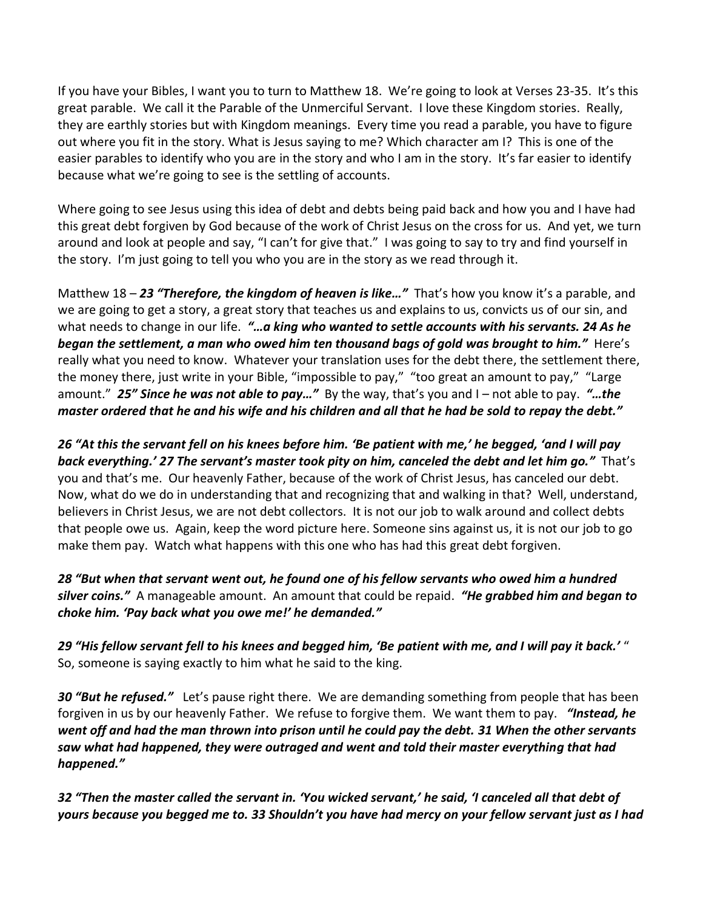If you have your Bibles, I want you to turn to Matthew 18. We're going to look at Verses 23-35. It's this great parable. We call it the Parable of the Unmerciful Servant. I love these Kingdom stories. Really, they are earthly stories but with Kingdom meanings. Every time you read a parable, you have to figure out where you fit in the story. What is Jesus saying to me? Which character am I? This is one of the easier parables to identify who you are in the story and who I am in the story. It's far easier to identify because what we're going to see is the settling of accounts.

Where going to see Jesus using this idea of debt and debts being paid back and how you and I have had this great debt forgiven by God because of the work of Christ Jesus on the cross for us. And yet, we turn around and look at people and say, "I can't for give that." I was going to say to try and find yourself in the story. I'm just going to tell you who you are in the story as we read through it.

Matthew 18 – *23 "Therefore, the kingdom of heaven is like…"* That's how you know it's a parable, and we are going to get a story, a great story that teaches us and explains to us, convicts us of our sin, and what needs to change in our life. *"…a king who wanted to settle accounts with his servants. 24 As he began the settlement, a man who owed him ten thousand bags of gold was brought to him."* Here's really what you need to know. Whatever your translation uses for the debt there, the settlement there, the money there, just write in your Bible, "impossible to pay," "too great an amount to pay," "Large amount." *25" Since he was not able to pay…"* By the way, that's you and I – not able to pay. *"…the master ordered that he and his wife and his children and all that he had be sold to repay the debt."*

*26 "At this the servant fell on his knees before him. 'Be patient with me,' he begged, 'and I will pay back everything.' 27 The servant's master took pity on him, canceled the debt and let him go."* That's you and that's me. Our heavenly Father, because of the work of Christ Jesus, has canceled our debt. Now, what do we do in understanding that and recognizing that and walking in that? Well, understand, believers in Christ Jesus, we are not debt collectors. It is not our job to walk around and collect debts that people owe us. Again, keep the word picture here. Someone sins against us, it is not our job to go make them pay. Watch what happens with this one who has had this great debt forgiven.

*28 "But when that servant went out, he found one of his fellow servants who owed him a hundred silver coins."* A manageable amount. An amount that could be repaid. *"He grabbed him and began to choke him. 'Pay back what you owe me!' he demanded."*

*29 "His fellow servant fell to his knees and begged him, 'Be patient with me, and I will pay it back.'* " So, someone is saying exactly to him what he said to the king.

*30 "But he refused."* Let's pause right there. We are demanding something from people that has been forgiven in us by our heavenly Father. We refuse to forgive them. We want them to pay. *"Instead, he went off and had the man thrown into prison until he could pay the debt. 31 When the other servants saw what had happened, they were outraged and went and told their master everything that had happened."*

*32 "Then the master called the servant in. 'You wicked servant,' he said, 'I canceled all that debt of yours because you begged me to. 33 Shouldn't you have had mercy on your fellow servant just as I had*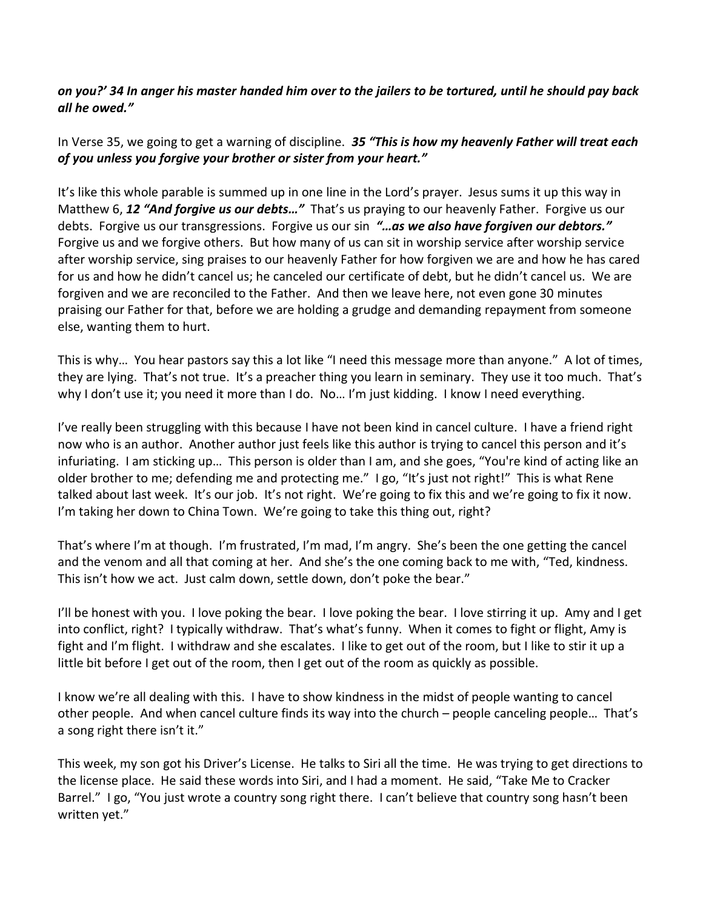## *on you?' 34 In anger his master handed him over to the jailers to be tortured, until he should pay back all he owed."*

In Verse 35, we going to get a warning of discipline. *35 "This is how my heavenly Father will treat each of you unless you forgive your brother or sister from your heart."*

It's like this whole parable is summed up in one line in the Lord's prayer. Jesus sums it up this way in Matthew 6, *12 "And forgive us our debts…"* That's us praying to our heavenly Father. Forgive us our debts. Forgive us our transgressions. Forgive us our sin *"…as we also have forgiven our debtors."* Forgive us and we forgive others. But how many of us can sit in worship service after worship service after worship service, sing praises to our heavenly Father for how forgiven we are and how he has cared for us and how he didn't cancel us; he canceled our certificate of debt, but he didn't cancel us. We are forgiven and we are reconciled to the Father. And then we leave here, not even gone 30 minutes praising our Father for that, before we are holding a grudge and demanding repayment from someone else, wanting them to hurt.

This is why… You hear pastors say this a lot like "I need this message more than anyone." A lot of times, they are lying. That's not true. It's a preacher thing you learn in seminary. They use it too much. That's why I don't use it; you need it more than I do. No... I'm just kidding. I know I need everything.

I've really been struggling with this because I have not been kind in cancel culture. I have a friend right now who is an author. Another author just feels like this author is trying to cancel this person and it's infuriating. I am sticking up… This person is older than I am, and she goes, "You're kind of acting like an older brother to me; defending me and protecting me." I go, "It's just not right!" This is what Rene talked about last week. It's our job. It's not right. We're going to fix this and we're going to fix it now. I'm taking her down to China Town. We're going to take this thing out, right?

That's where I'm at though. I'm frustrated, I'm mad, I'm angry. She's been the one getting the cancel and the venom and all that coming at her. And she's the one coming back to me with, "Ted, kindness. This isn't how we act. Just calm down, settle down, don't poke the bear."

I'll be honest with you. I love poking the bear. I love poking the bear. I love stirring it up. Amy and I get into conflict, right? I typically withdraw. That's what's funny. When it comes to fight or flight, Amy is fight and I'm flight. I withdraw and she escalates. I like to get out of the room, but I like to stir it up a little bit before I get out of the room, then I get out of the room as quickly as possible.

I know we're all dealing with this. I have to show kindness in the midst of people wanting to cancel other people. And when cancel culture finds its way into the church – people canceling people… That's a song right there isn't it."

This week, my son got his Driver's License. He talks to Siri all the time. He was trying to get directions to the license place. He said these words into Siri, and I had a moment. He said, "Take Me to Cracker Barrel." I go, "You just wrote a country song right there. I can't believe that country song hasn't been written yet."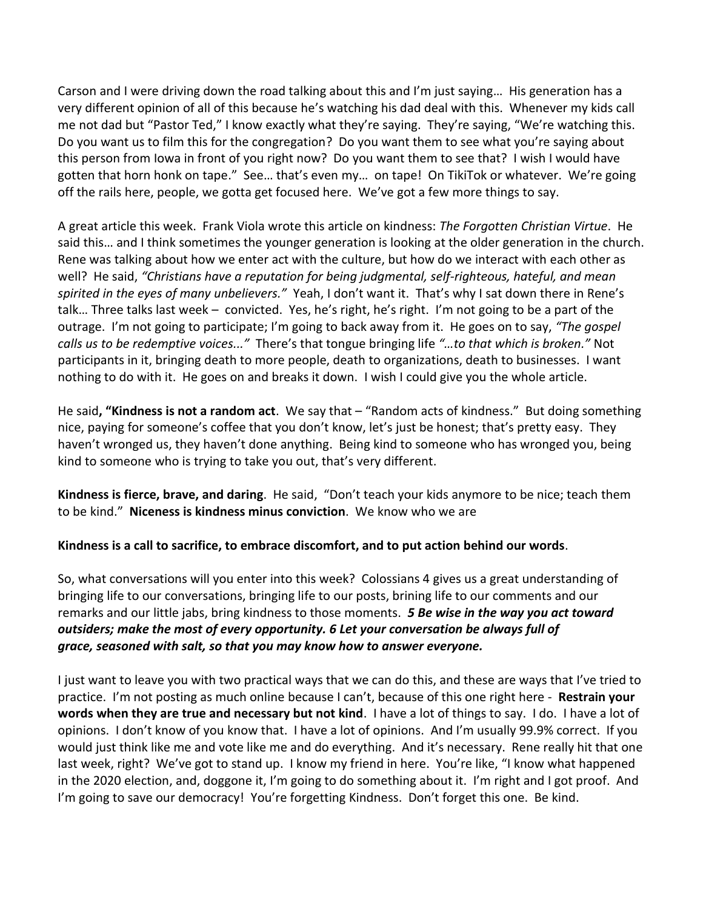Carson and I were driving down the road talking about this and I'm just saying… His generation has a very different opinion of all of this because he's watching his dad deal with this. Whenever my kids call me not dad but "Pastor Ted," I know exactly what they're saying. They're saying, "We're watching this. Do you want us to film this for the congregation? Do you want them to see what you're saying about this person from Iowa in front of you right now? Do you want them to see that? I wish I would have gotten that horn honk on tape." See… that's even my… on tape! On TikiTok or whatever. We're going off the rails here, people, we gotta get focused here. We've got a few more things to say.

A great article this week. Frank Viola wrote this article on kindness: *The Forgotten Christian Virtue*. He said this… and I think sometimes the younger generation is looking at the older generation in the church. Rene was talking about how we enter act with the culture, but how do we interact with each other as well? He said, *"Christians have a reputation for being judgmental, self-righteous, hateful, and mean spirited in the eyes of many unbelievers."* Yeah, I don't want it. That's why I sat down there in Rene's talk… Three talks last week – convicted. Yes, he's right, he's right. I'm not going to be a part of the outrage. I'm not going to participate; I'm going to back away from it. He goes on to say, *"The gospel calls us to be redemptive voices..."* There's that tongue bringing life *"…to that which is broken."* Not participants in it, bringing death to more people, death to organizations, death to businesses. I want nothing to do with it. He goes on and breaks it down. I wish I could give you the whole article.

He said**, "Kindness is not a random act**. We say that – "Random acts of kindness." But doing something nice, paying for someone's coffee that you don't know, let's just be honest; that's pretty easy. They haven't wronged us, they haven't done anything. Being kind to someone who has wronged you, being kind to someone who is trying to take you out, that's very different.

**Kindness is fierce, brave, and daring**. He said, "Don't teach your kids anymore to be nice; teach them to be kind." **Niceness is kindness minus conviction**. We know who we are

## **Kindness is a call to sacrifice, to embrace discomfort, and to put action behind our words**.

So, what conversations will you enter into this week? Colossians 4 gives us a great understanding of bringing life to our conversations, bringing life to our posts, brining life to our comments and our remarks and our little jabs, bring kindness to those moments. *5 Be wise in the way you act toward outsiders; make the most of every opportunity. 6 Let your conversation be always full of grace, seasoned with salt, so that you may know how to answer everyone.*

I just want to leave you with two practical ways that we can do this, and these are ways that I've tried to practice. I'm not posting as much online because I can't, because of this one right here - **Restrain your words when they are true and necessary but not kind**. I have a lot of things to say. I do. I have a lot of opinions. I don't know of you know that. I have a lot of opinions. And I'm usually 99.9% correct. If you would just think like me and vote like me and do everything. And it's necessary. Rene really hit that one last week, right? We've got to stand up. I know my friend in here. You're like, "I know what happened in the 2020 election, and, doggone it, I'm going to do something about it. I'm right and I got proof. And I'm going to save our democracy! You're forgetting Kindness. Don't forget this one. Be kind.